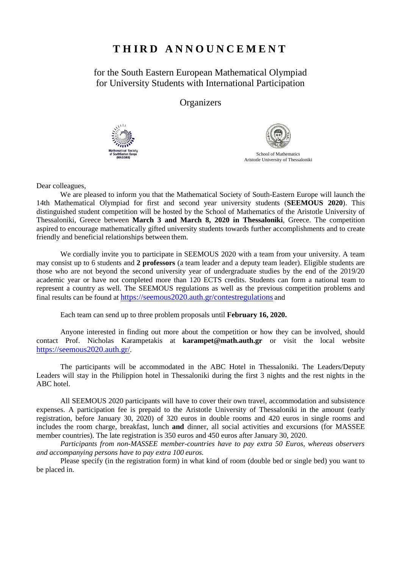## **T H I R D A N N O U N C E M E N T**

for the South Eastern European Mathematical Olympiad for University Students with International Participation

**Organizers** 





Dear colleagues,

We are pleased to inform you that the Mathematical Society of South-Eastern Europe will launch the 14th Mathematical Olympiad for first and second year university students (**SEEMOUS 2020**). This distinguished student competition will be hosted by the School of Mathematics of the Aristotle University of Thessaloniki, Greece between **March 3 and March 8, 2020 in Thessaloniki**, Greece. The competition aspired to encourage mathematically gifted university students towards further accomplishments and to create friendly and beneficial relationships between them.

We cordially invite you to participate in SEEMOUS 2020 with a team from your university. A team may consist up to 6 students and **2 professors** (a team leader and a deputy team leader). Eligible students are those who are not beyond the second university year of undergraduate studies by the end of the 2019/20 academic year or have not completed more than 120 ECTS credits. Students can form a national team to represent a country as well. The SEEMOUS regulations as well as the previous competition problems and final results can be found at<https://seemous2020.auth.gr/contestregulations> and

Each team can send up to three problem proposals until **February 16, 2020.**

Anyone interested in finding out more about the competition or how they can be involved, should contact Prof. Nicholas Karampetakis at **[karampet@math.auth.gr](mailto:karampet@math.auth.gr)** or visit the local website [https://seemous2020.auth.gr/.](https://seemous2020.auth.gr/)

The participants will be accommodated in the ABC Hotel in Thessaloniki. The Leaders/Deputy Leaders will stay in the Philippion hotel in Thessaloniki during the first 3 nights and the rest nights in the ABC hotel.

All SEEMOUS 2020 participants will have to cover their own travel, accommodation and subsistence expenses. A participation fee is prepaid to the Aristotle University of Thessaloniki in the amount (early registration, before January 30, 2020) of 320 euros in double rooms and 420 euros in single rooms and includes the room charge, breakfast, lunch **and** dinner, all social activities and excursions (for MASSEE member countries). The late registration is 350 euros and 450 euros after January 30, 2020.

*Participants from non-MASSEE member-countries have to pay extra 50 Euros, whereas observers and accompanying persons have to pay extra 100 euros.*

Please specify (in the registration form) in what kind of room (double bed or single bed) you want to be placed in.